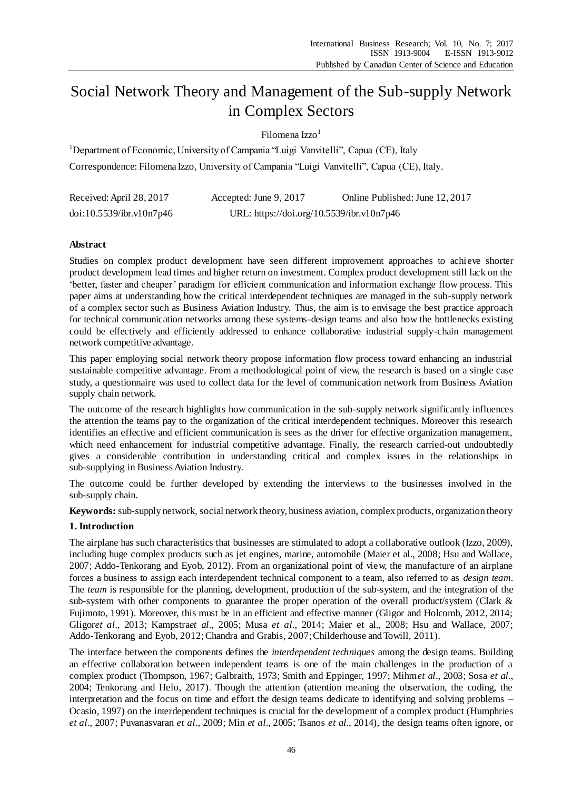# Social Network Theory and Management of the Sub-supply Network in Complex Sectors

Filomena Izzo $<sup>1</sup>$ </sup>

<sup>1</sup>Department of Economic, University of Campania "Luigi Vanvitelli", Capua (CE), Italy Correspondence: Filomena Izzo, University of Campania "Luigi Vanvitelli", Capua (CE), Italy.

| Received: April 28, 2017 | Accepted: June 9, 2017                    | Online Published: June 12, 2017 |
|--------------------------|-------------------------------------------|---------------------------------|
| doi:10.5539/ibr.v10n7p46 | URL: https://doi.org/10.5539/ibr.v10n7p46 |                                 |

# **Abstract**

Studies on complex product development have seen different improvement approaches to achieve shorter product development lead times and higher return on investment. Complex product development still lack on the 'better, faster and cheaper' paradigm for efficient communication and information exchange flow process. This paper aims at understanding how the critical interdependent techniques are managed in the sub-supply network of a complex sector such as Business Aviation Industry. Thus, the aim is to envisage the best practice approach for technical communication networks among these systems-design teams and also how the bottlenecks existing could be effectively and efficiently addressed to enhance collaborative industrial supply-chain management network competitive advantage.

This paper employing social network theory propose information flow process toward enhancing an industrial sustainable competitive advantage. From a methodological point of view, the research is based on a single case study, a questionnaire was used to collect data for the level of communication network from Business Aviation supply chain network.

The outcome of the research highlights how communication in the sub-supply network significantly influences the attention the teams pay to the organization of the critical interdependent techniques. Moreover this research identifies an effective and efficient communication is sees as the driver for effective organization management, which need enhancement for industrial competitive advantage. Finally, the research carried-out undoubtedly gives a considerable contribution in understanding critical and complex issues in the relationships in sub-supplying in Business Aviation Industry.

The outcome could be further developed by extending the interviews to the businesses involved in the sub-supply chain.

**Keywords:** sub-supply network, social network theory, business aviation, complex products, organization theory

# **1. Introduction**

The airplane has such characteristics that businesses are stimulated to adopt a collaborative outlook (Izzo, 2009), including huge complex products such as jet engines, marine, automobile (Maier et al., 2008; Hsu and Wallace, 2007; Addo-Tenkorang and Eyob, 2012). From an organizational point of view, the manufacture of an airplane forces a business to assign each interdependent technical component to a team, also referred to as *design team*. The *team* is responsible for the planning, development, production of the sub-system, and the integration of the sub-system with other components to guarantee the proper operation of the overall product/system (Clark & Fujimoto, 1991). Moreover, this must be in an efficient and effective manner (Gligor and Holcomb, 2012, 2014; Gligor*et al*., 2013; Kampstra*et al*., 2005; Musa *et al*., 2014; Maier et al., 2008; Hsu and Wallace, 2007; Addo-Tenkorang and Eyob, 2012; Chandra and Grabis, 2007; Childerhouse and Towill, 2011).

The interface between the components defines the *interdependent techniques* among the design teams. Building an effective collaboration between independent teams is one of the main challenges in the production of a complex product (Thompson, 1967; Galbraith, 1973; Smith and Eppinger, 1997; Mihm*et al*., 2003; Sosa *et al*., 2004; Tenkorang and Helo, 2017). Though the attention (attention meaning the observation, the coding, the interpretation and the focus on time and effort the design teams dedicate to identifying and solving problems – Ocasio, 1997) on the interdependent techniques is crucial for the development of a complex product (Humphries *et al*., 2007; Puvanasvaran *et al*., 2009; Min *et al*., 2005; Tsanos *et al*., 2014), the design teams often ignore, or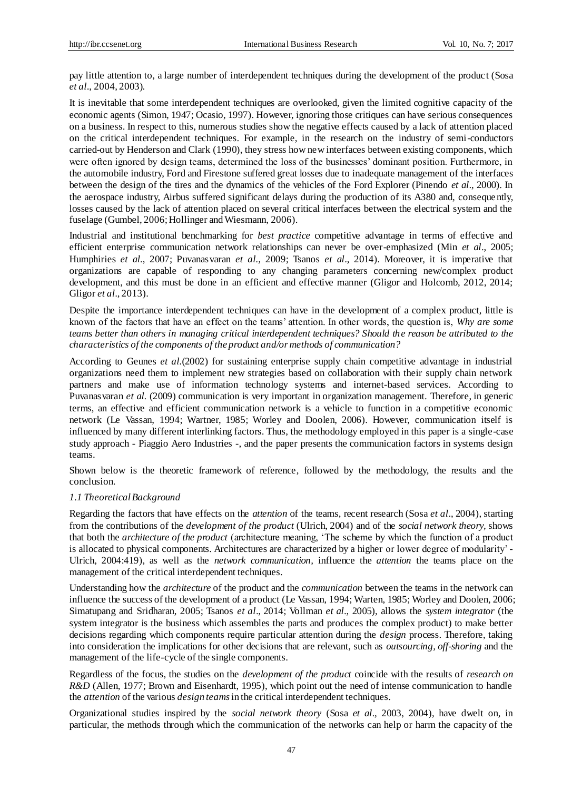pay little attention to, a large number of interdependent techniques during the development of the product (Sosa *et al*., 2004, 2003).

It is inevitable that some interdependent techniques are overlooked, given the limited cognitive capacity of the economic agents (Simon, 1947; Ocasio, 1997). However, ignoring those critiques can have serious consequences on a business. In respect to this, numerous studies show the negative effects caused by a lack of attention placed on the critical interdependent techniques. For example, in the research on the industry of semi-conductors carried-out by Henderson and Clark (1990), they stress how new interfaces between existing components, which were often ignored by design teams, determined the loss of the businesses' dominant position. Furthermore, in the automobile industry, Ford and Firestone suffered great losses due to inadequate management of the interfaces between the design of the tires and the dynamics of the vehicles of the Ford Explorer (Pinendo *et al*., 2000). In the aerospace industry, Airbus suffered significant delays during the production of its A380 and, consequently, losses caused by the lack of attention placed on several critical interfaces between the electrical system and the fuselage (Gumbel, 2006; Hollinger and Wiesmann, 2006).

Industrial and institutional benchmarking for *best practice* competitive advantage in terms of effective and efficient enterprise communication network relationships can never be over-emphasized (Min *et al*., 2005; Humphiries *et al.*, 2007; Puvanasvaran *et al.,* 2009; Tsanos *et al*., 2014). Moreover, it is imperative that organizations are capable of responding to any changing parameters concerning new/complex product development, and this must be done in an efficient and effective manner (Gligor and Holcomb, 2012, 2014; Gligor *et al*., 2013).

Despite the importance interdependent techniques can have in the development of a complex product, little is known of the factors that have an effect on the teams' attention. In other words, the question is, *Why are some teams better than others in managing critical interdependent techniques? Should the reason be attributed to the characteristics of the components of the product and/or methods of communication?* 

According to Geunes *et al.*(2002) for sustaining enterprise supply chain competitive advantage in industrial organizations need them to implement new strategies based on collaboration with their supply chain network partners and make use of information technology systems and internet-based services. According to Puvanasvaran *et al.* (2009) communication is very important in organization management. Therefore, in generic terms, an effective and efficient communication network is a vehicle to function in a competitive economic network (Le Vassan, 1994; Wartner, 1985; Worley and Doolen, 2006). However, communication itself is influenced by many different interlinking factors. Thus, the methodology employed in this paper is a single-case study approach - Piaggio Aero Industries -, and the paper presents the communication factors in systems design teams.

Shown below is the theoretic framework of reference, followed by the methodology, the results and the conclusion.

# *1.1 Theoretical Background*

Regarding the factors that have effects on the *attention* of the teams, recent research (Sosa *et al*., 2004), starting from the contributions of the *development of the product* (Ulrich, 2004) and of the *social network theory,* shows that both the *architecture of the product* (architecture meaning, 'The scheme by which the function of a product is allocated to physical components. Architectures are characterized by a higher or lower degree of modularity' - Ulrich, 2004:419), as well as the *network communication,* influence the *attention* the teams place on the management of the critical interdependent techniques.

Understanding how the *architecture* of the product and the *communication* between the teams in the network can influence the success of the development of a product (Le Vassan, 1994; Warten, 1985; Worley and Doolen, 2006; Simatupang and Sridharan, 2005; Tsanos *et al*., 2014; Vollman *et al*., 2005), allows the *system integrator* (the system integrator is the business which assembles the parts and produces the complex product) to make better decisions regarding which components require particular attention during the *design* process. Therefore, taking into consideration the implications for other decisions that are relevant, such as *outsourcing, off-shoring* and the management of the life-cycle of the single components.

Regardless of the focus, the studies on the *development of the product* coincide with the results of *research on R&D* (Allen, 1977; Brown and Eisenhardt, 1995), which point out the need of intense communication to handle the *attention* of the various *design teams* in the critical interdependent techniques.

Organizational studies inspired by the *social network theory* (Sosa *et al*., 2003, 2004), have dwelt on, in particular, the methods through which the communication of the networks can help or harm the capacity of the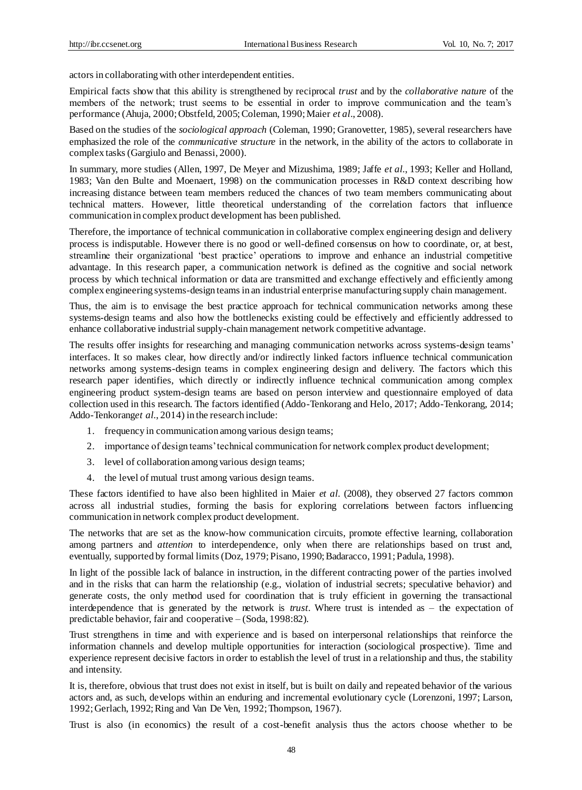actors in collaborating with other interdependent entities.

Empirical facts show that this ability is strengthened by reciprocal *trust* and by the *collaborative nature* of the members of the network; trust seems to be essential in order to improve communication and the team's performance (Ahuja, 2000; Obstfeld, 2005; Coleman, 1990; Maier *et al*., 2008).

Based on the studies of the *sociological approach* (Coleman, 1990; Granovetter, 1985), several researchers have emphasized the role of the *communicative structure* in the network, in the ability of the actors to collaborate in complex tasks (Gargiulo and Benassi, 2000).

In summary, more studies (Allen, 1997, De Meyer and Mizushima, 1989; Jaffe *et al.*, 1993; Keller and Holland, 1983; Van den Bulte and Moenaert, 1998) on the communication processes in R&D context describing how increasing distance between team members reduced the chances of two team members communicating about technical matters. However, little theoretical understanding of the correlation factors that influence communication in complex product development has been published.

Therefore, the importance of technical communication in collaborative complex engineering design and delivery process is indisputable. However there is no good or well-defined consensus on how to coordinate, or, at best, streamline their organizational 'best practice' operations to improve and enhance an industrial competitive advantage. In this research paper, a communication network is defined as the cognitive and social network process by which technical information or data are transmitted and exchange effectively and efficiently among complex engineering systems-design teams in an industrial enterprise manufacturing supply chain management.

Thus, the aim is to envisage the best practice approach for technical communication networks among these systems-design teams and also how the bottlenecks existing could be effectively and efficiently addressed to enhance collaborative industrial supply-chain management network competitive advantage.

The results offer insights for researching and managing communication networks across systems-design teams' interfaces. It so makes clear, how directly and/or indirectly linked factors influence technical communication networks among systems-design teams in complex engineering design and delivery. The factors which this research paper identifies, which directly or indirectly influence technical communication among complex engineering product system-design teams are based on person interview and questionnaire employed of data collection used in this research. The factors identified (Addo-Tenkorang and Helo, 2017; Addo-Tenkorang, 2014; Addo-Tenkorang*et al.*, 2014) in the research include:

- 1. frequency in communication among various design teams;
- 2. importance of design teams' technical communication for network complex product development;
- 3. level of collaboration among various design teams;
- 4. the level of mutual trust among various design teams.

These factors identified to have also been highlited in Maier *et al.* (2008), they observed 27 factors common across all industrial studies, forming the basis for exploring correlations between factors influencing communication in network complex product development.

The networks that are set as the know-how communication circuits, promote effective learning, collaboration among partners and *attention* to interdependence, only when there are relationships based on trust and, eventually, supported by formal limits (Doz, 1979; Pisano, 1990; Badaracco, 1991; Padula, 1998).

In light of the possible lack of balance in instruction, in the different contracting power of the parties involved and in the risks that can harm the relationship (e.g., violation of industrial secrets; speculative behavior) and generate costs, the only method used for coordination that is truly efficient in governing the transactional interdependence that is generated by the network is *trust*. Where trust is intended as – the expectation of predictable behavior, fair and cooperative – (Soda, 1998:82).

Trust strengthens in time and with experience and is based on interpersonal relationships that reinforce the information channels and develop multiple opportunities for interaction (sociological prospective). Time and experience represent decisive factors in order to establish the level of trust in a relationship and thus, the stability and intensity.

It is, therefore, obvious that trust does not exist in itself, but is built on daily and repeated behavior of the various actors and, as such, develops within an enduring and incremental evolutionary cycle (Lorenzoni, 1997; Larson, 1992; Gerlach, 1992; Ring and Van De Ven, 1992; Thompson, 1967).

Trust is also (in economics) the result of a cost-benefit analysis thus the actors choose whether to be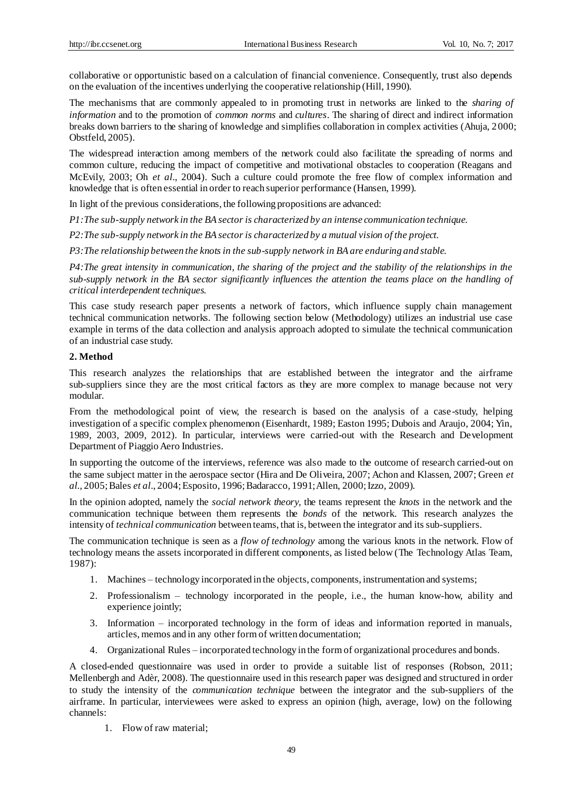collaborative or opportunistic based on a calculation of financial convenience. Consequently, trust also depends on the evaluation of the incentives underlying the cooperative relationship (Hill, 1990).

The mechanisms that are commonly appealed to in promoting trust in networks are linked to the *sharing of information* and to the promotion of *common norms* and *cultures*. The sharing of direct and indirect information breaks down barriers to the sharing of knowledge and simplifies collaboration in complex activities (Ahuja, 2000; Obstfeld, 2005).

The widespread interaction among members of the network could also facilitate the spreading of norms and common culture, reducing the impact of competitive and motivational obstacles to cooperation (Reagans and McEvily, 2003; Oh *et al*., 2004). Such a culture could promote the free flow of complex information and knowledge that is often essential in order to reach superior performance (Hansen, 1999).

In light of the previous considerations, the following propositions are advanced:

*P1:The sub-supply network in the BA sector is characterized by an intense communication technique.*

*P2:The sub-supply network in the BA sector is characterized by a mutual vision of the project.*

*P3:The relationship between the knots in the sub-supply network in BA are enduring and stable.*

*P4:The great intensity in communication, the sharing of the project and the stability of the relationships in the sub-supply network in the BA sector significantly influences the attention the teams place on the handling of critical interdependent techniques.*

This case study research paper presents a network of factors, which influence supply chain management technical communication networks. The following section below (Methodology) utilizes an industrial use case example in terms of the data collection and analysis approach adopted to simulate the technical communication of an industrial case study.

# **2. Method**

This research analyzes the relationships that are established between the integrator and the airframe sub-suppliers since they are the most critical factors as they are more complex to manage because not very modular.

From the methodological point of view, the research is based on the analysis of a case -study, helping investigation of a specific complex phenomenon (Eisenhardt, 1989; Easton 1995; Dubois and Araujo, 2004; Yin, 1989, 2003, 2009, 2012). In particular, interviews were carried-out with the Research and Development Department of Piaggio Aero Industries.

In supporting the outcome of the interviews, reference was also made to the outcome of research carried-out on the same subject matter in the aerospace sector (Hira and De Oliveira, 2007; Achon and Klassen, 2007; Green *et al.*, 2005; Bales *et al*., 2004; Esposito, 1996; Badaracco, 1991; Allen, 2000; Izzo, 2009).

In the opinion adopted, namely the *social network theory,* the teams represent the *knots* in the network and the communication technique between them represents the *bonds* of the network. This research analyzes the intensity of *technical communication* between teams, that is, between the integrator and its sub-suppliers.

The communication technique is seen as a *flow of technology* among the various knots in the network. Flow of technology means the assets incorporated in different components, as listed below (The Technology Atlas Team, 1987):

- 1. Machines technology incorporated in the objects, components, instrumentation and systems;
- 2. Professionalism technology incorporated in the people, i.e., the human know-how, ability and experience jointly;
- 3. Information incorporated technology in the form of ideas and information reported in manuals, articles, memos and in any other form of written documentation;
- 4. Organizational Rules incorporated technology in the form of organizational procedures and bonds.

A closed-ended questionnaire was used in order to provide a suitable list of responses (Robson, 2011; Mellenbergh and Adèr, 2008). The questionnaire used in this research paper was designed and structured in order to study the intensity of the *communication technique* between the integrator and the sub-suppliers of the airframe. In particular, interviewees were asked to express an opinion (high, average, low) on the following channels:

1. Flow of raw material;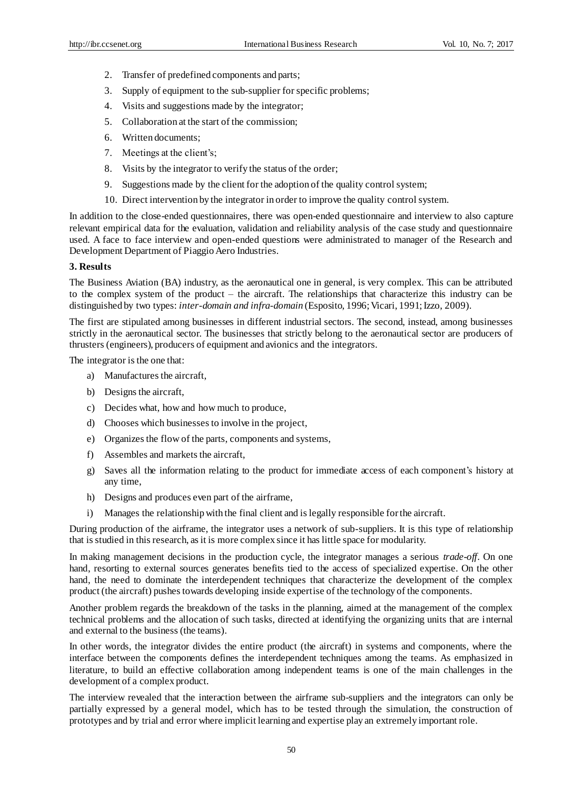- 2. Transfer of predefined components and parts;
- 3. Supply of equipment to the sub-supplier for specific problems;
- 4. Visits and suggestions made by the integrator;
- 5. Collaboration at the start of the commission;
- 6. Written documents;
- 7. Meetings at the client's;
- 8. Visits by the integrator to verify the status of the order;
- 9. Suggestions made by the client for the adoption of the quality control system;
- 10. Direct intervention by the integrator in order to improve the quality control system.

In addition to the close-ended questionnaires, there was open-ended questionnaire and interview to also capture relevant empirical data for the evaluation, validation and reliability analysis of the case study and questionnaire used. A face to face interview and open-ended questions were administrated to manager of the Research and Development Department of Piaggio Aero Industries.

## **3. Results**

The Business Aviation (BA) industry, as the aeronautical one in general, is very complex. This can be attributed to the complex system of the product – the aircraft. The relationships that characterize this industry can be distinguished by two types: *inter-domain and infra-domain* (Esposito, 1996; Vicari, 1991; Izzo, 2009).

The first are stipulated among businesses in different industrial sectors. The second, instead, among businesses strictly in the aeronautical sector. The businesses that strictly belong to the aeronautical sector are producers of thrusters (engineers), producers of equipment and avionics and the integrators.

The integrator is the one that:

- a) Manufactures the aircraft,
- b) Designs the aircraft,
- c) Decides what, how and how much to produce,
- d) Chooses which businesses to involve in the project,
- e) Organizes the flow of the parts, components and systems,
- f) Assembles and markets the aircraft,
- g) Saves all the information relating to the product for immediate access of each component's history at any time,
- h) Designs and produces even part of the airframe,
- i) Manages the relationship with the final client and is legally responsible for the aircraft.

During production of the airframe, the integrator uses a network of sub-suppliers. It is this type of relationship that is studied in this research, as it is more complex since it has little space for modularity.

In making management decisions in the production cycle, the integrator manages a serious *trade-off*. On one hand, resorting to external sources generates benefits tied to the access of specialized expertise. On the other hand, the need to dominate the interdependent techniques that characterize the development of the complex product (the aircraft) pushes towards developing inside expertise of the technology of the components.

Another problem regards the breakdown of the tasks in the planning, aimed at the management of the complex technical problems and the allocation of such tasks, directed at identifying the organizing units that are internal and external to the business (the teams).

In other words, the integrator divides the entire product (the aircraft) in systems and components, where the interface between the components defines the interdependent techniques among the teams. As emphasized in literature, to build an effective collaboration among independent teams is one of the main challenges in the development of a complex product.

The interview revealed that the interaction between the airframe sub-suppliers and the integrators can only be partially expressed by a general model, which has to be tested through the simulation, the construction of prototypes and by trial and error where implicit learning and expertise play an extremely important role.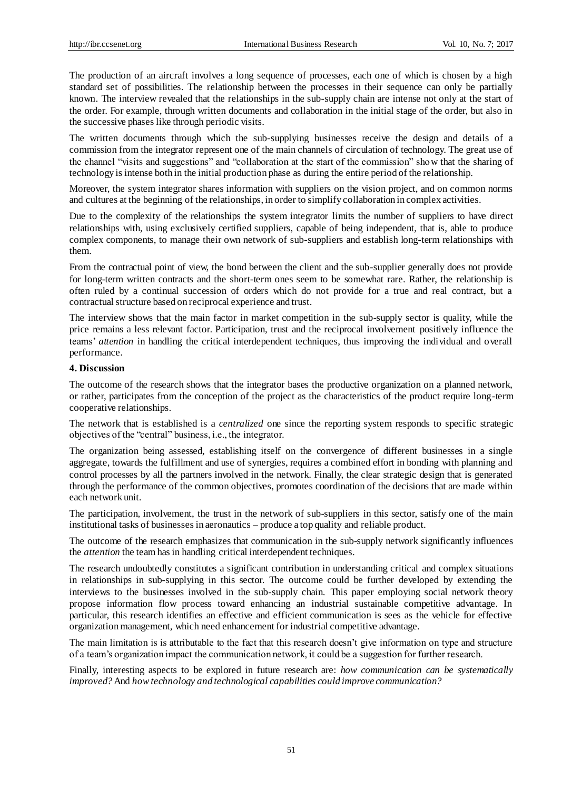The production of an aircraft involves a long sequence of processes, each one of which is chosen by a high standard set of possibilities. The relationship between the processes in their sequence can only be partially known. The interview revealed that the relationships in the sub-supply chain are intense not only at the start of the order. For example, through written documents and collaboration in the initial stage of the order, but also in the successive phases like through periodic visits.

The written documents through which the sub-supplying businesses receive the design and details of a commission from the integrator represent one of the main channels of circulation of technology. The great use of the channel "visits and suggestions" and "collaboration at the start of the commission" show that the sharing of technology is intense both in the initial production phase as during the entire period of the relationship.

Moreover, the system integrator shares information with suppliers on the vision project, and on common norms and cultures at the beginning of the relationships, in order to simplify collaboration in complex activities.

Due to the complexity of the relationships the system integrator limits the number of suppliers to have direct relationships with, using exclusively certified suppliers, capable of being independent, that is, able to produce complex components, to manage their own network of sub-suppliers and establish long-term relationships with them.

From the contractual point of view, the bond between the client and the sub-supplier generally does not provide for long-term written contracts and the short-term ones seem to be somewhat rare. Rather, the relationship is often ruled by a continual succession of orders which do not provide for a true and real contract, but a contractual structure based on reciprocal experience and trust.

The interview shows that the main factor in market competition in the sub-supply sector is quality, while the price remains a less relevant factor. Participation, trust and the reciprocal involvement positively influence the teams' *attention* in handling the critical interdependent techniques, thus improving the individual and overall performance.

## **4. Discussion**

The outcome of the research shows that the integrator bases the productive organization on a planned network, or rather, participates from the conception of the project as the characteristics of the product require long-term cooperative relationships.

The network that is established is a *centralized* one since the reporting system responds to specific strategic objectives of the "central" business, i.e., the integrator.

The organization being assessed, establishing itself on the convergence of different businesses in a single aggregate, towards the fulfillment and use of synergies, requires a combined effort in bonding with planning and control processes by all the partners involved in the network. Finally, the clear strategic design that is generated through the performance of the common objectives, promotes coordination of the decisions that are made within each network unit.

The participation, involvement, the trust in the network of sub-suppliers in this sector, satisfy one of the main institutional tasks of businesses in aeronautics – produce a top quality and reliable product.

The outcome of the research emphasizes that communication in the sub-supply network significantly influences the *attention* the team has in handling critical interdependent techniques.

The research undoubtedly constitutes a significant contribution in understanding critical and complex situations in relationships in sub-supplying in this sector. The outcome could be further developed by extending the interviews to the businesses involved in the sub-supply chain. This paper employing social network theory propose information flow process toward enhancing an industrial sustainable competitive advantage. In particular, this research identifies an effective and efficient communication is sees as the vehicle for effective organization management, which need enhancement for industrial competitive advantage.

The main limitation is is attributable to the fact that this research doesn't give information on type and structure of a team's organization impact the communication network, it could be a suggestion for further research.

Finally, interesting aspects to be explored in future research are: *how communication can be systematically improved?* And *how technology and technological capabilities could improve communication?*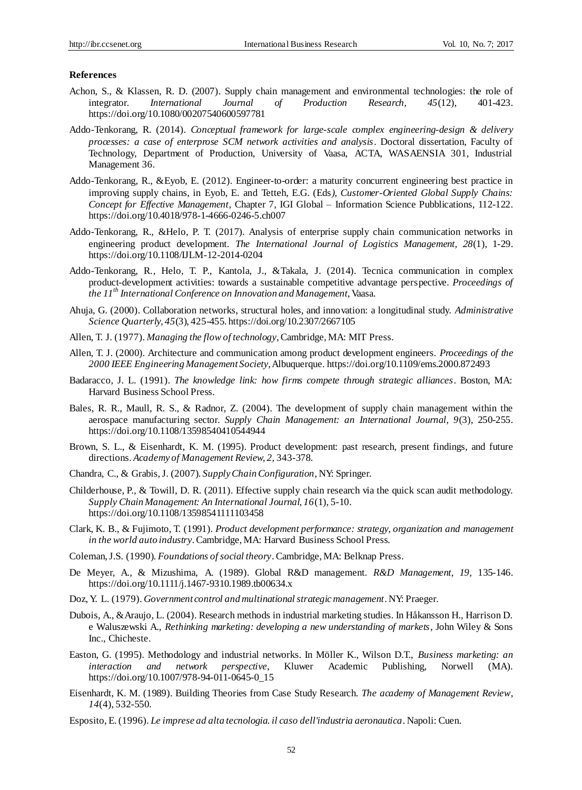## **References**

- Achon, S., & Klassen, R. D. (2007). Supply chain management and environmental technologies: the role of integrator. *International Journal of Production Research, 45*(12), 401-423. https://doi.org/10.1080/00207540600597781
- Addo-Tenkorang, R. (2014). *Conceptual framework for large-scale complex engineering-design & delivery processes: a case of enterprose SCM network activities and analysis*. Doctoral dissertation, Faculty of Technology, Department of Production, University of Vaasa, ACTA, WASAENSIA 301, Industrial Management 36.
- Addo-Tenkorang, R., &Eyob, E. (2012). Engineer-to-order: a maturity concurrent engineering best practice in improving supply chains, in Eyob, E. and Tetteh, E.G. (Eds*), Customer-Oriented Global Supply Chains: Concept for Effective Management*, Chapter 7, IGI Global – Information Science Pubblications, 112-122. https://doi.org/10.4018/978-1-4666-0246-5.ch007
- Addo-Tenkorang, R., &Helo, P. T. (2017). Analysis of enterprise supply chain communication networks in engineering product development. *The International Journal of Logistics Management, 28*(1), 1-29. https://doi.org/10.1108/IJLM-12-2014-0204
- Addo-Tenkorang, R., Helo, T. P., Kantola, J., &Takala, J. (2014). Tecnica communication in complex product-development activities: towards a sustainable competitive advantage perspective. *Proceedings of the 11th International Conference on Innovation and Management*, Vaasa.
- Ahuja, G. (2000). Collaboration networks, structural holes, and innovation: a longitudinal study. *Administrative Science Quarterly, 45*(3), 425-455. https://doi.org/10.2307/2667105
- Allen, T. J. (1977). *Managing the flow of technology*, Cambridge, MA: MIT Press.
- Allen, T. J. (2000). Architecture and communication among product development engineers. *Proceedings of the 2000 IEEE Engineering Management Society*, Albuquerque. https://doi.org/10.1109/ems.2000.872493
- Badaracco, J. L. (1991). *The knowledge link: how firms compete through strategic alliances*. Boston, MA: Harvard Business School Press.
- Bales, R. R., Maull, R. S., & Radnor, Z. (2004). The development of supply chain management within the aerospace manufacturing sector. *Supply Chain Management: an International Journal, 9*(3), 250-255. https://doi.org/10.1108/13598540410544944
- Brown, S. L., & Eisenhardt, K. M. (1995). Product development: past research, present findings, and future directions. *Academy of Management Review, 2,* 343-378.
- Chandra, C., & Grabis, J. (2007). *Supply Chain Configuration*, NY: Springer.
- Childerhouse, P., & Towill, D. R. (2011). Effective supply chain research via the quick scan audit methodology. *Supply Chain Management: An International Journal, 16*(1), 5-10. https://doi.org/10.1108/13598541111103458
- Clark, K. B., & Fujimoto, T. (1991)*. Product development performance: strategy, organization and management in the world auto industry*. Cambridge, MA: Harvard Business School Press.
- Coleman, J.S. (1990). *Foundations of social theory*. Cambridge, MA: Belknap Press.
- De Meyer, A., & Mizushima, A. (1989). Global R&D management. *R&D Management, 19,* 135-146. https://doi.org/10.1111/j.1467-9310.1989.tb00634.x
- Doz, Y. L. (1979). *Government control and multinational strategic management*. NY: Praeger.
- Dubois, A., &Araujo, L. (2004). Research methods in industrial marketing studies. In Håkansson H., Harrison D. e Waluszewski A., *Rethinking marketing: developing a new understanding of markets*, John Wiley & Sons Inc., Chicheste.
- Easton, G. (1995). Methodology and industrial networks. In Möller K., Wilson D.T., *Business marketing: an interaction and network perspective*, Kluwer Academic Publishing, Norwell (MA). https://doi.org/10.1007/978-94-011-0645-0\_15
- Eisenhardt, K. M. (1989). Building Theories from Case Study Research. *The academy of Management Review*, *14*(4), 532-550.
- Esposito, E. (1996). *Le imprese ad alta tecnologia. il caso dell'industria aeronautica*. Napoli: Cuen.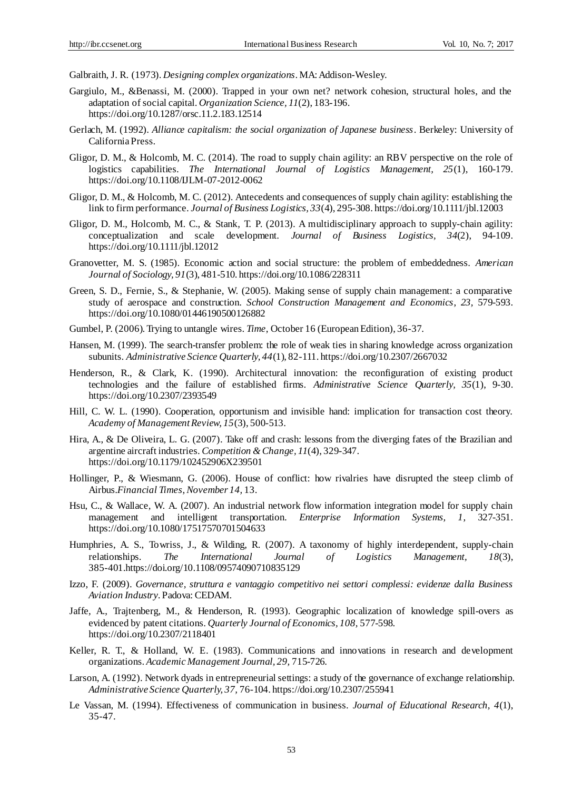Galbraith, J. R. (1973). *Designing complex organizations*. MA: Addison-Wesley.

- Gargiulo, M., &Benassi, M. (2000). Trapped in your own net? network cohesion, structural holes, and the adaptation of social capital. *Organization Science, 11*(2), 183-196. https://doi.org/10.1287/orsc.11.2.183.12514
- Gerlach, M. (1992). *Alliance capitalism: the social organization of Japanese business*. Berkeley: University of California Press.
- Gligor, D. M., & Holcomb, M. C. (2014). The road to supply chain agility: an RBV perspective on the role of logistics capabilities. *The International Journal of Logistics Management, 25*(1), 160-179. https://doi.org/10.1108/IJLM-07-2012-0062
- Gligor, D. M., & Holcomb, M. C. (2012). Antecedents and consequences of supply chain agility: establishing the link to firm performance. *Journal of Business Logistics, 33*(4), 295-308. https://doi.org/10.1111/jbl.12003
- Gligor, D. M., Holcomb, M. C., & Stank, T. P. (2013). A multidisciplinary approach to supply-chain agility: conceptualization and scale development. *Journal of Business Logistics, 34*(2), 94-109. https://doi.org/10.1111/jbl.12012
- Granovetter, M. S. (1985). Economic action and social structure: the problem of embeddedness. *American Journal of Sociology, 91*(3), 481-510. https://doi.org/10.1086/228311
- Green, S. D., Fernie, S., & Stephanie, W. (2005). Making sense of supply chain management: a comparative study of aerospace and construction. *School Construction Management and Economics*, *23,* 579-593. https://doi.org/10.1080/01446190500126882
- Gumbel, P. (2006). Trying to untangle wires. *Time*, October 16 (European Edition), 36-37.
- Hansen, M. (1999). The search-transfer problem: the role of weak ties in sharing knowledge across organization subunits. *Administrative Science Quarterly, 44*(1), 82-111. https://doi.org/10.2307/2667032
- Henderson, R., & Clark, K. (1990). Architectural innovation: the reconfiguration of existing product technologies and the failure of established firms. *Administrative Science Quarterly, 35*(1), 9-30. https://doi.org/10.2307/2393549
- Hill, C. W. L. (1990). Cooperation, opportunism and invisible hand: implication for transaction cost theory. *Academy of Management Review, 15*(3), 500-513.
- Hira, A., & De Oliveira, L. G. (2007). Take off and crash: lessons from the diverging fates of the Brazilian and argentine aircraft industries. *Competition & Change, 11*(4), 329-347. https://doi.org/10.1179/102452906X239501
- Hollinger, P., & Wiesmann, G. (2006). House of conflict: how rivalries have disrupted the steep climb of Airbus.*Financial Times*, *November 14,* 13.
- Hsu, C., & Wallace, W. A. (2007). An industrial network flow information integration model for supply chain management and intelligent transportation. *Enterprise Information Systems, 1,* 327-351. https://doi.org/10.1080/17517570701504633
- Humphries, A. S., Towriss, J., & Wilding, R. (2007). A taxonomy of highly interdependent, supply-chain relationships. *The International Journal of Logistics Management, 18*(3), 385-401.https://doi.org/10.1108/09574090710835129
- Izzo, F. (2009). *Governance, struttura e vantaggio competitivo nei settori complessi: evidenze dalla Business Aviation Industry*. Padova: CEDAM.
- Jaffe, A., Trajtenberg, M., & Henderson, R. (1993). Geographic localization of knowledge spill-overs as evidenced by patent citations. *Quarterly Journal of Economics, 108,* 577-598. https://doi.org/10.2307/2118401
- Keller, R. T., & Holland, W. E. (1983). Communications and innovations in research and development organizations. *Academic Management Journal, 29,* 715-726.
- Larson, A. (1992). Network dyads in entrepreneurial settings: a study of the governance of exchange relationship. *Administrative Science Quarterly, 37,* 76-104. https://doi.org/10.2307/255941
- Le Vassan, M. (1994). Effectiveness of communication in business. *Journal of Educational Research, 4*(1), 35-47.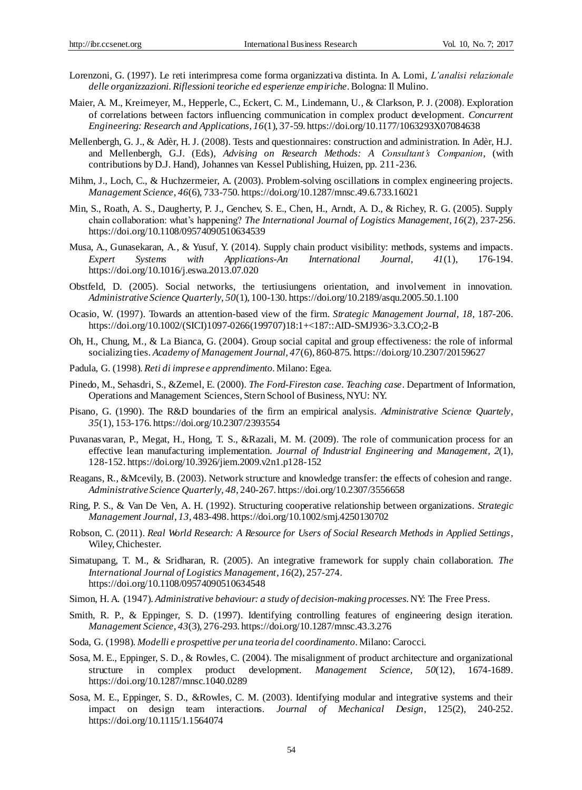- Lorenzoni, G. (1997). Le reti interimpresa come forma organizzativa distinta. In A. Lomi, *L'analisi relazionale delle organizzazioni. Riflessioni teoriche ed esperienze empiriche*. Bologna: Il Mulino.
- Maier, A. M., Kreimeyer, M., Hepperle, C., Eckert, C. M., Lindemann, U., & Clarkson, P. J. (2008). Exploration of correlations between factors influencing communication in complex product development. *Concurrent Engineering: Research and Applications, 16*(1), 37-59. https://doi.org/10.1177/1063293X07084638
- Mellenbergh, G. J., & Adèr, H. J. (2008). Tests and questionnaires: construction and administration. In Adèr, H.J. and Mellenbergh, G.J. (Eds), *Advising on Research Methods: A Consultant's Companion*, (with contributions by D.J. Hand), Johannes van Kessel Publishing, Huizen, pp. 211-236.
- Mihm, J., Loch, C., & Huchzermeier, A. (2003). Problem-solving oscillations in complex engineering projects. *Management Science*, *46*(6), 733-750. https://doi.org/10.1287/mnsc.49.6.733.16021
- Min, S., Roath, A. S., Daugherty, P. J., Genchev, S. E., Chen, H., Arndt, A. D., & Richey, R. G. (2005). Supply chain collaboration: what's happening? *The International Journal of Logistics Management, 16*(2), 237-256. https://doi.org/10.1108/09574090510634539
- Musa, A., Gunasekaran, A., & Yusuf, Y. (2014). Supply chain product visibility: methods, systems and impacts*. Expert Systems with Applications-An International Journal, 41*(1), 176-194. https://doi.org/10.1016/j.eswa.2013.07.020
- Obstfeld, D. (2005). Social networks, the tertiusiungens orientation, and involvement in innovation. *Administrative Science Quarterly*, *50*(1), 100-130. https://doi.org/10.2189/asqu.2005.50.1.100
- Ocasio, W. (1997). Towards an attention-based view of the firm. *Strategic Management Journal, 18,* 187-206. https://doi.org/10.1002/(SICI)1097-0266(199707)18:1+<187::AID-SMJ936>3.3.CO;2-B
- Oh, H., Chung, M., & La Bianca, G. (2004). Group social capital and group effectiveness: the role of informal socializing ties. *Academy of Management Journal, 47*(6), 860-875. https://doi.org/10.2307/20159627
- Padula, G. (1998). *Reti di imprese e apprendimento*. Milano: Egea.
- Pinedo, M., Sehasdri, S., &Zemel, E. (2000). *The Ford-Fireston case. Teaching case*. Department of Information, Operations and Management Sciences, Stern School of Business, NYU: NY.
- Pisano, G. (1990). The R&D boundaries of the firm an empirical analysis. *Administrative Science Quartely*, *35*(1), 153-176. https://doi.org/10.2307/2393554
- Puvanasvaran, P., Megat, H., Hong, T. S., &Razali, M. M. (2009). The role of communication process for an effective lean manufacturing implementation. *Journal of Industrial Engineering and Management*, *2*(1), 128-152. https://doi.org/10.3926/jiem.2009.v2n1.p128-152
- Reagans, R., &Mcevily, B. (2003). Network structure and knowledge transfer: the effects of cohesion and range. *Administrative Science Quarterly*, *48,* 240-267. https://doi.org/10.2307/3556658
- Ring, P. S., & Van De Ven, A. H. (1992). Structuring cooperative relationship between organizations. *Strategic Management Journal*, *13,* 483-498. https://doi.org/10.1002/smj.4250130702
- Robson, C. (2011). *Real World Research: A Resource for Users of Social Research Methods in Applied Settings*, Wiley, Chichester.
- Simatupang, T. M., & Sridharan, R. (2005). An integrative framework for supply chain collaboration. *The International Journal of Logistics Management*, *16*(2), 257-274. https://doi.org/10.1108/09574090510634548
- Simon, H. A. (1947). *Administrative behaviour: a study of decision-making processes*. NY: The Free Press.
- Smith, R. P., & Eppinger, S. D. (1997). Identifying controlling features of engineering design iteration. *Management Science*, *43*(3), 276-293. https://doi.org/10.1287/mnsc.43.3.276
- Soda, G. (1998). *Modelli e prospettive per una teoria del coordinamento*. Milano: Carocci.
- Sosa, M. E., Eppinger, S. D., & Rowles, C. (2004). The misalignment of product architecture and organizational structure in complex product development. *Management Science, 50*(12), 1674-1689. <https://doi.org/10.1287/mnsc.1040.0289>
- Sosa, M. E., Eppinger, S. D., &Rowles, C. M. (2003). Identifying modular and integrative systems and their impact on design team interactions. *Journal of Mechanical Design*, 125(2), 240-252. https://doi.org/10.1115/1.1564074